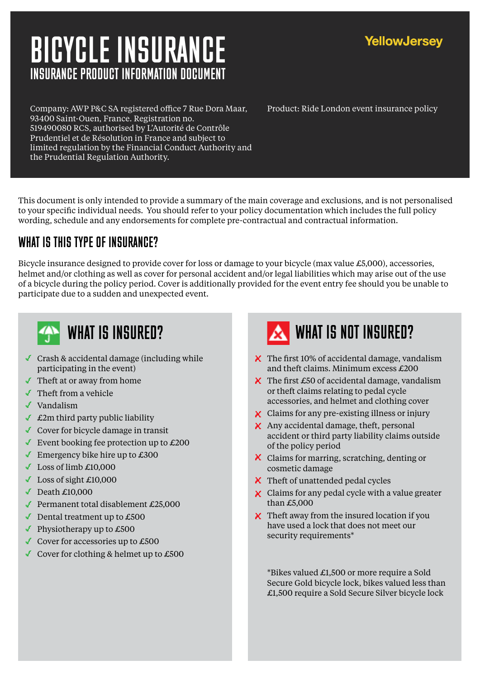# INSURANCE PRODUCT INFORMATION DOCUMENT BICYCLE INSURANCE

Company: AWP P&C SA registered office 7 Rue Dora Maar, 93400 Saint-Ouen, France. Registration no. 519490080 RCS, authorised by L'Autorité de Contrôle Prudentiel et de Résolution in France and subject to limited regulation by the Financial Conduct Authority and the Prudential Regulation Authority.

This document is only intended to provide a summary of the main coverage and exclusions, and is not personalised to your specific individual needs. You should refer to your policy documentation which includes the full policy wording, schedule and any endorsements for complete pre-contractual and contractual information.

#### WHAT IS THIS TYPE OF INSURANCE?

Bicycle insurance designed to provide cover for loss or damage to your bicycle (max value £5,000), accessories, helmet and/or clothing as well as cover for personal accident and/or legal liabilities which may arise out of the use of a bicycle during the policy period. Cover is additionally provided for the event entry fee should you be unable to participate due to a sudden and unexpected event.



- Crash & accidental damage (including while participating in the event)
- Theft at or away from home
- Theft from a vehicle
- $\sqrt{\ }$  Vandalism
- $\triangle$  £2m third party public liability
- Cover for bicycle damage in transit
- Event booking fee protection up to  $\text{\pounds}200$
- Emergency bike hire up to  $£300$
- $\bigcup$  Loss of limb £10,000
- $\sim$  Loss of sight £10,000
- $\blacklozenge$  Death £10,000
- Permanent total disablement  $£25,000$
- Dental treatment up to  $£500$
- Physiotherapy up to  $£500$
- Cover for accessories up to  $£500$
- Cover for clothing & helmet up to  $£500$

# WHAT IS INSURED? WHAT IS NOT INSURED?

- $\boldsymbol{\times}$  The first 10% of accidental damage, vandalism and theft claims. Minimum excess £200
- $\boldsymbol{\times}$  The first £50 of accidental damage, vandalism or theft claims relating to pedal cycle accessories, and helmet and clothing cover
- **x** Claims for any pre-existing illness or injury
- $\boldsymbol{\times}$  Any accidental damage, theft, personal accident or third party liability claims outside of the policy period
- Claims for marring, scratching, denting or cosmetic damage
- $\boldsymbol{\times}$  Theft of unattended pedal cycles
- $\boldsymbol{\times}$  Claims for any pedal cycle with a value greater than £5,000
- $\boldsymbol{\times}$  Theft away from the insured location if you have used a lock that does not meet our security requirements\*

\*Bikes valued £1,500 or more require a Sold Secure Gold bicycle lock, bikes valued less than £1,500 require a Sold Secure Silver bicycle lock

Product: Ride London event insurance policy